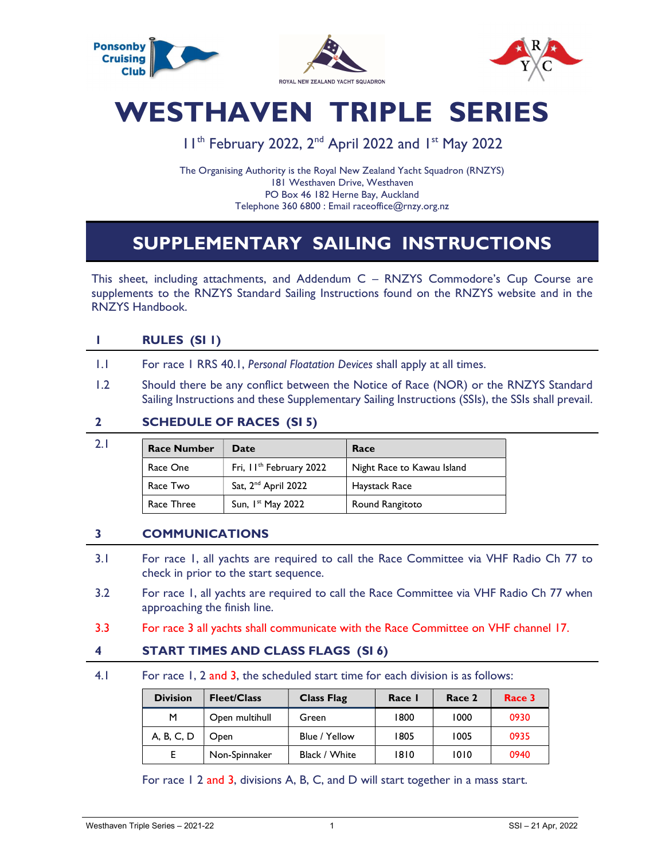

# WESTHAVEN TRIPLE SERIES

## 11<sup>th</sup> February 2022, 2<sup>nd</sup> April 2022 and 1<sup>st</sup> May 2022

The Organising Authority is the Royal New Zealand Yacht Squadron (RNZYS) 181 Westhaven Drive, Westhaven PO Box 46 182 Herne Bay, Auckland Telephone 360 6800 : Email raceoffice@rnzy.org.nz

# SUPPLEMENTARY SAILING INSTRUCTIONS

This sheet, including attachments, and Addendum C – RNZYS Commodore's Cup Course are supplements to the RNZYS Standard Sailing Instructions found on the RNZYS website and in the RNZYS Handbook.

#### 1 RULES (SI 1)

- 1.1 For race 1 RRS 40.1, Personal Floatation Devices shall apply at all times.
- 1.2 Should there be any conflict between the Notice of Race (NOR) or the RNZYS Standard Sailing Instructions and these Supplementary Sailing Instructions (SSIs), the SSIs shall prevail.

#### 2 SCHEDULE OF RACES (SI 5)

| <b>Race Number</b> | Date                                | Race                       |
|--------------------|-------------------------------------|----------------------------|
| Race One           | Fri, II <sup>th</sup> February 2022 | Night Race to Kawau Island |
| Race Two           | Sat, 2 <sup>nd</sup> April 2022     | Haystack Race              |
| Race Three         | Sun, $Ist$ May 2022                 | Round Rangitoto            |

#### 3 COMMUNICATIONS

- 3.1 For race 1, all yachts are required to call the Race Committee via VHF Radio Ch 77 to check in prior to the start sequence.
- 3.2 For race 1, all yachts are required to call the Race Committee via VHF Radio Ch 77 when approaching the finish line.
- 3.3 For race 3 all yachts shall communicate with the Race Committee on VHF channel 17.

#### 4 START TIMES AND CLASS FLAGS (SI 6)

4.1 For race 1, 2 and 3, the scheduled start time for each division is as follows:

| <b>Division</b> | <b>Fleet/Class</b> | <b>Class Flag</b> | Race I | Race 2 | Race 3 |
|-----------------|--------------------|-------------------|--------|--------|--------|
| м               | Open multihull     | Green             | 1800   | 1000   | 0930   |
| A, B, C, D      | Open               | Blue / Yellow     | 1805   | 1005   | 0935   |
|                 | Non-Spinnaker      | Black / White     | 1810   | 1010   | 0940   |

For race 1 2 and 3, divisions A, B, C, and D will start together in a mass start.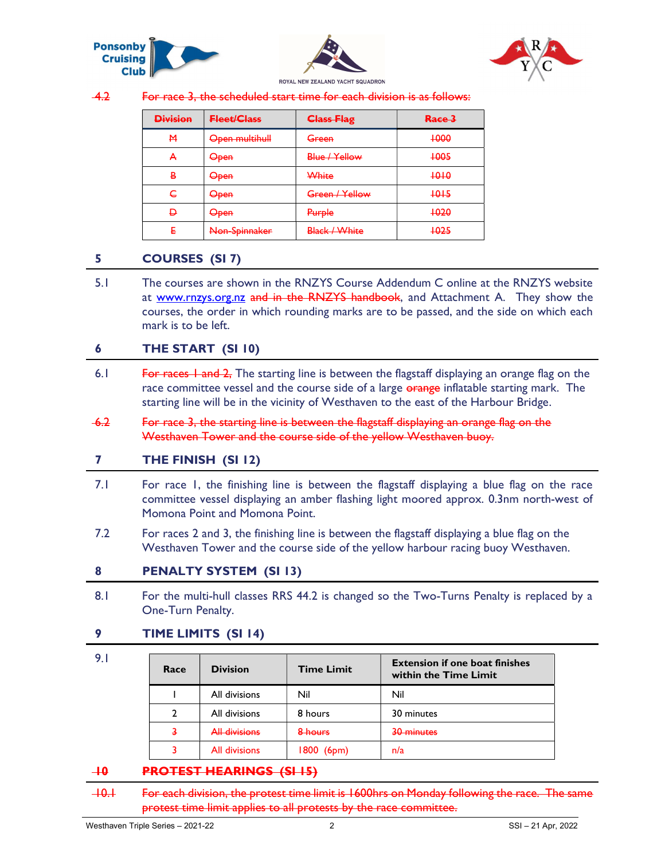



4.2 For race 3, the scheduled start time for each division is as follows:

| <b>Division</b> | <b>Fleet/Class</b> | <b>Class Flag</b>    | Race 3 |
|-----------------|--------------------|----------------------|--------|
| M               | Open multihull     | Green                | +000   |
| А               | <del>Open</del>    | Blue / Yellow        | +005   |
| B               | <del>Open</del>    | White                | 1010   |
| ╘               | <del>Open</del>    | Green / Yellow       | $+0+5$ |
| Đ               | <del>Open</del>    | Purple               | +020   |
|                 | Non-Spinnaker      | <b>Black / White</b> | +025   |

#### 5 COURSES (SI 7)

 5.1 The courses are shown in the RNZYS Course Addendum C online at the RNZYS website at www.rnzys.org.nz and in the RNZYS handbook, and Attachment A. They show the courses, the order in which rounding marks are to be passed, and the side on which each mark is to be left.

#### 6 THE START (SI 10)

- 6.1 For races 1 and 2, The starting line is between the flagstaff displaying an orange flag on the race committee vessel and the course side of a large orange inflatable starting mark. The starting line will be in the vicinity of Westhaven to the east of the Harbour Bridge.
- 6.2 For race 3, the starting line is between the flagstaff displaying an orange flag on the Westhaven Tower and the course side of the yellow Westhaven buoy.

#### 7 THE FINISH (SI 12)

- 7.1 For race 1, the finishing line is between the flagstaff displaying a blue flag on the race committee vessel displaying an amber flashing light moored approx. 0.3nm north-west of Momona Point and Momona Point.
- 7.2 For races 2 and 3, the finishing line is between the flagstaff displaying a blue flag on the Westhaven Tower and the course side of the yellow harbour racing buoy Westhaven.

#### 8 PENALTY SYSTEM (SI 13)

8.1 For the multi-hull classes RRS 44.2 is changed so the Two-Turns Penalty is replaced by a One-Turn Penalty.

#### 9 TIME LIMITS (SI 14)

| Race | <b>Division</b>      | <b>Time Limit</b> | <b>Extension if one boat finishes</b><br>within the Time Limit |
|------|----------------------|-------------------|----------------------------------------------------------------|
|      | All divisions        | Nil               | Nil                                                            |
|      | All divisions        | 8 hours           | 30 minutes                                                     |
|      | <b>All divisions</b> | 8 hours           | 30 minutes                                                     |
|      | All divisions        | $1800$ (6pm)      | n/a                                                            |

#### 10 **PROTEST HEARINGS (SI 15)**

 10.1 For each division, the protest time limit is 1600hrs on Monday following the race. The same protest time limit applies to all protests by the race committee.

9.1